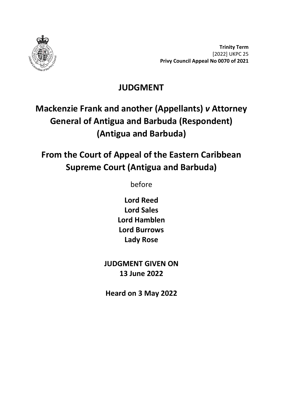

**Trinity Term** [2022] UKPC 25 **Privy Council Appeal No 0070 of 2021**

## **JUDGMENT**

# **Mackenzie Frank and another (Appellants)** *v* **Attorney General of Antigua and Barbuda (Respondent) (Antigua and Barbuda)**

# **From the Court of Appeal of the Eastern Caribbean Supreme Court (Antigua and Barbuda)**

before

**Lord Reed Lord Sales Lord Hamblen Lord Burrows Lady Rose**

**JUDGMENT GIVEN ON 13 June 2022**

**Heard on 3 May 2022**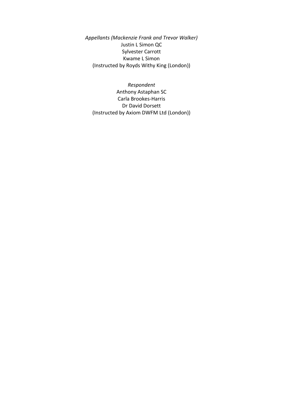*Appellants (Mackenzie Frank and Trevor Walker)* Justin L Simon QC Sylvester Carrott Kwame L Simon (Instructed by Royds Withy King (London))

*Respondent* Anthony Astaphan SC Carla Brookes-Harris Dr David Dorsett (Instructed by Axiom DWFM Ltd (London))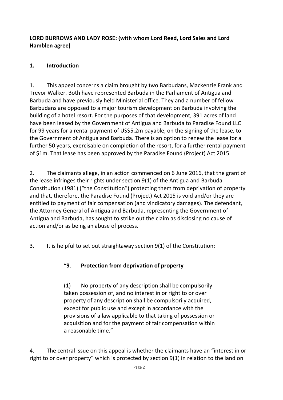#### **LORD BURROWS AND LADY ROSE: (with whom Lord Reed, Lord Sales and Lord Hamblen agree)**

### **1. Introduction**

1. This appeal concerns a claim brought by two Barbudans, Mackenzie Frank and Trevor Walker. Both have represented Barbuda in the Parliament of Antigua and Barbuda and have previously held Ministerial office. They and a number of fellow Barbudans are opposed to a major tourism development on Barbuda involving the building of a hotel resort. For the purposes of that development, 391 acres of land have been leased by the Government of Antigua and Barbuda to Paradise Found LLC for 99 years for a rental payment of US\$5.2m payable, on the signing of the lease, to the Government of Antigua and Barbuda. There is an option to renew the lease for a further 50 years, exercisable on completion of the resort, for a further rental payment of \$1m. That lease has been approved by the Paradise Found (Project) Act 2015.

2. The claimants allege, in an action commenced on 6 June 2016, that the grant of the lease infringes their rights under section 9(1) of the Antigua and Barbuda Constitution (1981) ("the Constitution") protecting them from deprivation of property and that, therefore, the Paradise Found (Project) Act 2015 is void and/or they are entitled to payment of fair compensation (and vindicatory damages). The defendant, the Attorney General of Antigua and Barbuda, representing the Government of Antigua and Barbuda, has sought to strike out the claim as disclosing no cause of action and/or as being an abuse of process.

3. It is helpful to set out straightaway section 9(1) of the Constitution:

### "**9**. **Protection from deprivation of property**

(1) No property of any description shall be compulsorily taken possession of, and no interest in or right to or over property of any description shall be compulsorily acquired, except for public use and except in accordance with the provisions of a law applicable to that taking of possession or acquisition and for the payment of fair compensation within a reasonable time."

4. The central issue on this appeal is whether the claimants have an "interest in or right to or over property" which is protected by section 9(1) in relation to the land on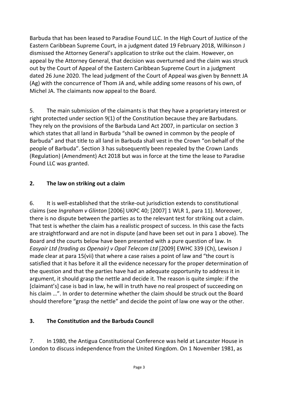Barbuda that has been leased to Paradise Found LLC. In the High Court of Justice of the Eastern Caribbean Supreme Court, in a judgment dated 19 February 2018, Wilkinson J dismissed the Attorney General's application to strike out the claim. However, on appeal by the Attorney General, that decision was overturned and the claim was struck out by the Court of Appeal of the Eastern Caribbean Supreme Court in a judgment dated 26 June 2020. The lead judgment of the Court of Appeal was given by Bennett JA (Ag) with the concurrence of Thom JA and, while adding some reasons of his own, of Michel JA. The claimants now appeal to the Board.

5. The main submission of the claimants is that they have a proprietary interest or right protected under section 9(1) of the Constitution because they are Barbudans. They rely on the provisions of the Barbuda Land Act 2007, in particular on section 3 which states that all land in Barbuda "shall be owned in common by the people of Barbuda" and that title to all land in Barbuda shall vest in the Crown "on behalf of the people of Barbuda". Section 3 has subsequently been repealed by the Crown Lands (Regulation) (Amendment) Act 2018 but was in force at the time the lease to Paradise Found LLC was granted.

#### **2. The law on striking out a claim**

6. It is well-established that the strike-out jurisdiction extends to constitutional claims (see *Ingraham v Glinton* [2006] UKPC 40; [2007] 1 WLR 1, para 11). Moreover, there is no dispute between the parties as to the relevant test for striking out a claim. That test is whether the claim has a realistic prospect of success. In this case the facts are straightforward and are not in dispute (and have been set out in para 1 above). The Board and the courts below have been presented with a pure question of law. In *Easyair Ltd (trading as Openair) v Opal Telecom Ltd* [2009] EWHC 339 (Ch), Lewison J made clear at para 15(vii) that where a case raises a point of law and "the court is satisfied that it has before it all the evidence necessary for the proper determination of the question and that the parties have had an adequate opportunity to address it in argument, it should grasp the nettle and decide it. The reason is quite simple: if the [claimant's] case is bad in law, he will in truth have no real prospect of succeeding on his claim …". In order to determine whether the claim should be struck out the Board should therefore "grasp the nettle" and decide the point of law one way or the other.

#### **3. The Constitution and the Barbuda Council**

7. In 1980, the Antigua Constitutional Conference was held at Lancaster House in London to discuss independence from the United Kingdom. On 1 November 1981, as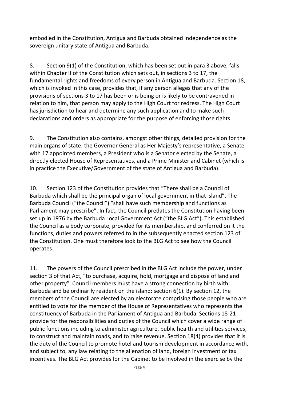embodied in the Constitution, Antigua and Barbuda obtained independence as the sovereign unitary state of Antigua and Barbuda.

8. Section 9(1) of the Constitution, which has been set out in para 3 above, falls within Chapter II of the Constitution which sets out, in sections 3 to 17, the fundamental rights and freedoms of every person in Antigua and Barbuda. Section 18, which is invoked in this case, provides that, if any person alleges that any of the provisions of sections 3 to 17 has been or is being or is likely to be contravened in relation to him, that person may apply to the High Court for redress. The High Court has jurisdiction to hear and determine any such application and to make such declarations and orders as appropriate for the purpose of enforcing those rights.

9. The Constitution also contains, amongst other things, detailed provision for the main organs of state: the Governor General as Her Majesty's representative, a Senate with 17 appointed members, a President who is a Senator elected by the Senate, a directly elected House of Representatives, and a Prime Minister and Cabinet (which is in practice the Executive/Government of the state of Antigua and Barbuda).

10. Section 123 of the Constitution provides that "There shall be a Council of Barbuda which shall be the principal organ of local government in that island". The Barbuda Council ("the Council") "shall have such membership and functions as Parliament may prescribe". In fact, the Council predates the Constitution having been set up in 1976 by the Barbuda Local Government Act ("the BLG Act"). This established the Council as a body corporate, provided for its membership, and conferred on it the functions, duties and powers referred to in the subsequently enacted section 123 of the Constitution. One must therefore look to the BLG Act to see how the Council operates.

11. The powers of the Council prescribed in the BLG Act include the power, under section 3 of that Act, "to purchase, acquire, hold, mortgage and dispose of land and other property". Council members must have a strong connection by birth with Barbuda and be ordinarily resident on the island: section 6(1). By section 12, the members of the Council are elected by an electorate comprising those people who are entitled to vote for the member of the House of Representatives who represents the constituency of Barbuda in the Parliament of Antigua and Barbuda. Sections 18-21 provide for the responsibilities and duties of the Council which cover a wide range of public functions including to administer agriculture, public health and utilities services, to construct and maintain roads, and to raise revenue. Section 18(4) provides that it is the duty of the Council to promote hotel and tourism development in accordance with, and subject to, any law relating to the alienation of land, foreign investment or tax incentives. The BLG Act provides for the Cabinet to be involved in the exercise by the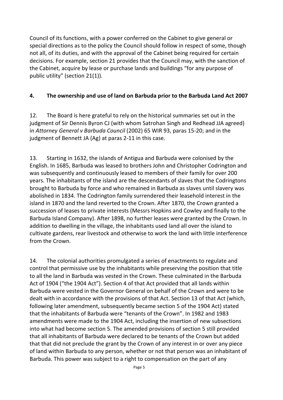Council of its functions, with a power conferred on the Cabinet to give general or special directions as to the policy the Council should follow in respect of some, though not all, of its duties, and with the approval of the Cabinet being required for certain decisions. For example, section 21 provides that the Council may, with the sanction of the Cabinet, acquire by lease or purchase lands and buildings "for any purpose of public utility" (section 21(1)).

#### **4. The ownership and use of land on Barbuda prior to the Barbuda Land Act 2007**

12. The Board is here grateful to rely on the historical summaries set out in the judgment of Sir Dennis Byron CJ (with whom Satrohan Singh and Redhead JJA agreed) in *Attorney General v Barbuda Council* (2002) 65 WIR 93, paras 15-20; and in the judgment of Bennett JA (Ag) at paras 2-11 in this case.

13. Starting in 1632, the islands of Antigua and Barbuda were colonised by the English. In 1685, Barbuda was leased to brothers John and Christopher Codrington and was subsequently and continuously leased to members of their family for over 200 years. The inhabitants of the island are the descendants of slaves that the Codringtons brought to Barbuda by force and who remained in Barbuda as slaves until slavery was abolished in 1834. The Codrington family surrendered their leasehold interest in the island in 1870 and the land reverted to the Crown. After 1870, the Crown granted a succession of leases to private interests (Messrs Hopkins and Cowley and finally to the Barbuda Island Company). After 1898, no further leases were granted by the Crown. In addition to dwelling in the village, the inhabitants used land all over the island to cultivate gardens, rear livestock and otherwise to work the land with little interference from the Crown.

14. The colonial authorities promulgated a series of enactments to regulate and control that permissive use by the inhabitants while preserving the position that title to all the land in Barbuda was vested in the Crown. These culminated in the Barbuda Act of 1904 ("the 1904 Act"). Section 4 of that Act provided that all lands within Barbuda were vested in the Governor General on behalf of the Crown and were to be dealt with in accordance with the provisions of that Act. Section 13 of that Act (which, following later amendment, subsequently became section 5 of the 1904 Act) stated that the inhabitants of Barbuda were "tenants of the Crown". In 1982 and 1983 amendments were made to the 1904 Act, including the insertion of new subsections into what had become section 5. The amended provisions of section 5 still provided that all inhabitants of Barbuda were declared to be tenants of the Crown but added that that did not preclude the grant by the Crown of any interest in or over any piece of land within Barbuda to any person, whether or not that person was an inhabitant of Barbuda. This power was subject to a right to compensation on the part of any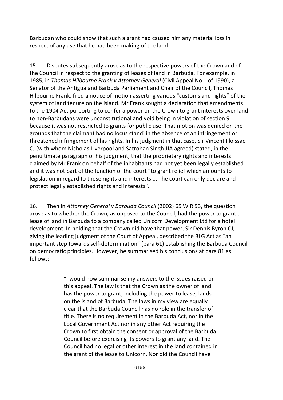Barbudan who could show that such a grant had caused him any material loss in respect of any use that he had been making of the land.

15. Disputes subsequently arose as to the respective powers of the Crown and of the Council in respect to the granting of leases of land in Barbuda. For example, in 1985, in *Thomas Hilbourne Frank v Attorney General* (Civil Appeal No 1 of 1990), a Senator of the Antigua and Barbuda Parliament and Chair of the Council, Thomas Hilbourne Frank, filed a notice of motion asserting various "customs and rights" of the system of land tenure on the island. Mr Frank sought a declaration that amendments to the 1904 Act purporting to confer a power on the Crown to grant interests over land to non-Barbudans were unconstitutional and void being in violation of section 9 because it was not restricted to grants for public use. That motion was denied on the grounds that the claimant had no locus standi in the absence of an infringement or threatened infringement of his rights. In his judgment in that case, Sir Vincent Floissac CJ (with whom Nicholas Liverpool and Satrohan Singh JJA agreed) stated, in the penultimate paragraph of his judgment, that the proprietary rights and interests claimed by Mr Frank on behalf of the inhabitants had not yet been legally established and it was not part of the function of the court "to grant relief which amounts to legislation in regard to those rights and interests ... The court can only declare and protect legally established rights and interests".

16. Then in *Attorney General v Barbuda Council* (2002) 65 WIR 93, the question arose as to whether the Crown, as opposed to the Council, had the power to grant a lease of land in Barbuda to a company called Unicorn Development Ltd for a hotel development. In holding that the Crown did have that power, Sir Dennis Byron CJ, giving the leading judgment of the Court of Appeal, described the BLG Act as "an important step towards self-determination" (para 61) establishing the Barbuda Council on democratic principles. However, he summarised his conclusions at para 81 as follows:

> "I would now summarise my answers to the issues raised on this appeal. The law is that the Crown as the owner of land has the power to grant, including the power to lease, lands on the island of Barbuda. The laws in my view are equally clear that the Barbuda Council has no role in the transfer of title. There is no requirement in the Barbuda Act, nor in the Local Government Act nor in any other Act requiring the Crown to first obtain the consent or approval of the Barbuda Council before exercising its powers to grant any land. The Council had no legal or other interest in the land contained in the grant of the lease to Unicorn. Nor did the Council have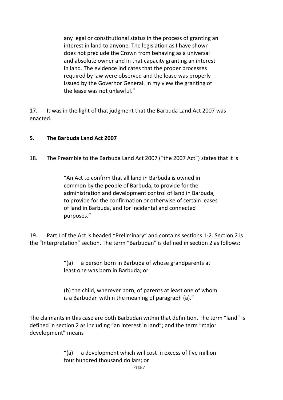any legal or constitutional status in the process of granting an interest in land to anyone. The legislation as I have shown does not preclude the Crown from behaving as a universal and absolute owner and in that capacity granting an interest in land. The evidence indicates that the proper processes required by law were observed and the lease was properly issued by the Governor General. In my view the granting of the lease was not unlawful."

17. It was in the light of that judgment that the Barbuda Land Act 2007 was enacted.

#### **5. The Barbuda Land Act 2007**

18. The Preamble to the Barbuda Land Act 2007 ("the 2007 Act") states that it is

"An Act to confirm that all land in Barbuda is owned in common by the people of Barbuda, to provide for the administration and development control of land in Barbuda, to provide for the confirmation or otherwise of certain leases of land in Barbuda, and for incidental and connected purposes."

19. Part I of the Act is headed "Preliminary" and contains sections 1-2. Section 2 is the "Interpretation" section. The term "Barbudan" is defined in section 2 as follows:

> "(a) a person born in Barbuda of whose grandparents at least one was born in Barbuda; or

(b) the child, wherever born, of parents at least one of whom is a Barbudan within the meaning of paragraph (a)."

The claimants in this case are both Barbudan within that definition. The term "land" is defined in section 2 as including "an interest in land"; and the term "major development" means

> "(a) a development which will cost in excess of five million four hundred thousand dollars; or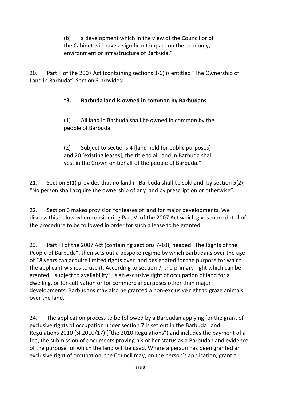(b) a development which in the view of the Council or of the Cabinet will have a significant impact on the economy, environment or infrastructure of Barbuda."

20. Part II of the 2007 Act (containing sections 3-6) is entitled "The Ownership of Land in Barbuda". Section 3 provides:

#### **"3. Barbuda land is owned in common by Barbudans**

(1) All land in Barbuda shall be owned in common by the people of Barbuda.

(2) Subject to sections 4 [land held for public purposes] and 20 [existing leases], the title to all land in Barbuda shall vest in the Crown on behalf of the people of Barbuda."

21. Section 5(1) provides that no land in Barbuda shall be sold and, by section 5(2), "No person shall acquire the ownership of any land by prescription or otherwise".

22. Section 6 makes provision for leases of land for major developments. We discuss this below when considering Part VI of the 2007 Act which gives more detail of the procedure to be followed in order for such a lease to be granted.

23. Part III of the 2007 Act (containing sections 7-10), headed "The Rights of the People of Barbuda", then sets out a bespoke regime by which Barbudans over the age of 18 years can acquire limited rights over land designated for the purpose for which the applicant wishes to use it. According to section 7, the primary right which can be granted, "subject to availability", is an exclusive right of occupation of land for a dwelling, or for cultivation or for commercial purposes other than major developments. Barbudans may also be granted a non-exclusive right to graze animals over the land.

24. The application process to be followed by a Barbudan applying for the grant of exclusive rights of occupation under section 7 is set out in the Barbuda Land Regulations 2010 (SI 2010/17) ("the 2010 Regulations") and includes the payment of a fee, the submission of documents proving his or her status as a Barbudan and evidence of the purpose for which the land will be used. Where a person has been granted an exclusive right of occupation, the Council may, on the person's application, grant a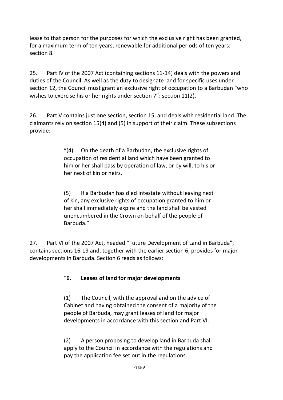lease to that person for the purposes for which the exclusive right has been granted, for a maximum term of ten years, renewable for additional periods of ten years: section 8.

25. Part IV of the 2007 Act (containing sections 11-14) deals with the powers and duties of the Council. As well as the duty to designate land for specific uses under section 12, the Council must grant an exclusive right of occupation to a Barbudan "who wishes to exercise his or her rights under section 7": section 11(2).

26. Part V contains just one section, section 15, and deals with residential land. The claimants rely on section 15(4) and (5) in support of their claim. These subsections provide:

> "(4) On the death of a Barbudan, the exclusive rights of occupation of residential land which have been granted to him or her shall pass by operation of law, or by will, to his or her next of kin or heirs.

> (5) If a Barbudan has died intestate without leaving next of kin, any exclusive rights of occupation granted to him or her shall immediately expire and the land shall be vested unencumbered in the Crown on behalf of the people of Barbuda."

27. Part VI of the 2007 Act, headed "Future Development of Land in Barbuda", contains sections 16-19 and, together with the earlier section 6, provides for major developments in Barbuda. Section 6 reads as follows:

#### "**6. Leases of land for major developments**

(1) The Council, with the approval and on the advice of Cabinet and having obtained the consent of a majority of the people of Barbuda, may grant leases of land for major developments in accordance with this section and Part VI.

(2) A person proposing to develop land in Barbuda shall apply to the Council in accordance with the regulations and pay the application fee set out in the regulations.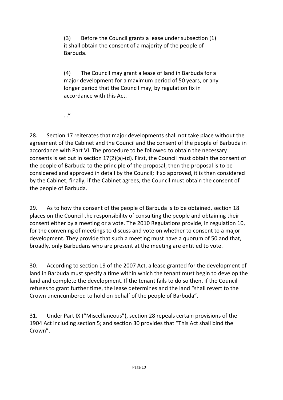(3) Before the Council grants a lease under subsection (1) it shall obtain the consent of a majority of the people of Barbuda.

(4) The Council may grant a lease of land in Barbuda for a major development for a maximum period of 50 years, or any longer period that the Council may, by regulation fix in accordance with this Act.

…"

28. Section 17 reiterates that major developments shall not take place without the agreement of the Cabinet and the Council and the consent of the people of Barbuda in accordance with Part VI. The procedure to be followed to obtain the necessary consents is set out in section 17(2)(a)-(d). First, the Council must obtain the consent of the people of Barbuda to the principle of the proposal; then the proposal is to be considered and approved in detail by the Council; if so approved, it is then considered by the Cabinet; finally, if the Cabinet agrees, the Council must obtain the consent of the people of Barbuda.

29. As to how the consent of the people of Barbuda is to be obtained, section 18 places on the Council the responsibility of consulting the people and obtaining their consent either by a meeting or a vote. The 2010 Regulations provide, in regulation 10, for the convening of meetings to discuss and vote on whether to consent to a major development. They provide that such a meeting must have a quorum of 50 and that, broadly, only Barbudans who are present at the meeting are entitled to vote.

30. According to section 19 of the 2007 Act, a lease granted for the development of land in Barbuda must specify a time within which the tenant must begin to develop the land and complete the development. If the tenant fails to do so then, if the Council refuses to grant further time, the lease determines and the land "shall revert to the Crown unencumbered to hold on behalf of the people of Barbuda".

31. Under Part IX ("Miscellaneous"), section 28 repeals certain provisions of the 1904 Act including section 5; and section 30 provides that "This Act shall bind the Crown".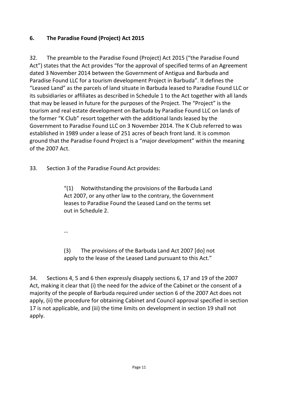#### **6. The Paradise Found (Project) Act 2015**

32. The preamble to the Paradise Found (Project) Act 2015 ("the Paradise Found Act") states that the Act provides "for the approval of specified terms of an Agreement dated 3 November 2014 between the Government of Antigua and Barbuda and Paradise Found LLC for a tourism development Project in Barbuda". It defines the "Leased Land" as the parcels of land situate in Barbuda leased to Paradise Found LLC or its subsidiaries or affiliates as described in Schedule 1 to the Act together with all lands that may be leased in future for the purposes of the Project. The "Project" is the tourism and real estate development on Barbuda by Paradise Found LLC on lands of the former "K Club" resort together with the additional lands leased by the Government to Paradise Found LLC on 3 November 2014. The K Club referred to was established in 1989 under a lease of 251 acres of beach front land. It is common ground that the Paradise Found Project is a "major development" within the meaning of the 2007 Act.

33. Section 3 of the Paradise Found Act provides:

"(1) Notwithstanding the provisions of the Barbuda Land Act 2007, or any other law to the contrary, the Government leases to Paradise Found the Leased Land on the terms set out in Schedule 2.

…

(3) The provisions of the Barbuda Land Act 2007 [do] not apply to the lease of the Leased Land pursuant to this Act."

34. Sections 4, 5 and 6 then expressly disapply sections 6, 17 and 19 of the 2007 Act, making it clear that (i) the need for the advice of the Cabinet or the consent of a majority of the people of Barbuda required under section 6 of the 2007 Act does not apply, (ii) the procedure for obtaining Cabinet and Council approval specified in section 17 is not applicable, and (iii) the time limits on development in section 19 shall not apply.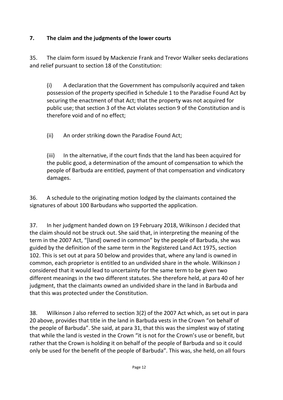#### **7. The claim and the judgments of the lower courts**

35. The claim form issued by Mackenzie Frank and Trevor Walker seeks declarations and relief pursuant to section 18 of the Constitution:

(i) A declaration that the Government has compulsorily acquired and taken possession of the property specified in Schedule 1 to the Paradise Found Act by securing the enactment of that Act; that the property was not acquired for public use; that section 3 of the Act violates section 9 of the Constitution and is therefore void and of no effect;

(ii) An order striking down the Paradise Found Act;

(iii) In the alternative, if the court finds that the land has been acquired for the public good, a determination of the amount of compensation to which the people of Barbuda are entitled, payment of that compensation and vindicatory damages.

36. A schedule to the originating motion lodged by the claimants contained the signatures of about 100 Barbudans who supported the application.

37. In her judgment handed down on 19 February 2018, Wilkinson J decided that the claim should not be struck out. She said that, in interpreting the meaning of the term in the 2007 Act, "[land] owned in common" by the people of Barbuda, she was guided by the definition of the same term in the Registered Land Act 1975, section 102. This is set out at para 50 below and provides that, where any land is owned in common, each proprietor is entitled to an undivided share in the whole. Wilkinson J considered that it would lead to uncertainty for the same term to be given two different meanings in the two different statutes. She therefore held, at para 40 of her judgment, that the claimants owned an undivided share in the land in Barbuda and that this was protected under the Constitution.

38. Wilkinson J also referred to section 3(2) of the 2007 Act which, as set out in para 20 above, provides that title in the land in Barbuda vests in the Crown "on behalf of the people of Barbuda". She said, at para 31, that this was the simplest way of stating that while the land is vested in the Crown "it is not for the Crown's use or benefit, but rather that the Crown is holding it on behalf of the people of Barbuda and so it could only be used for the benefit of the people of Barbuda". This was, she held, on all fours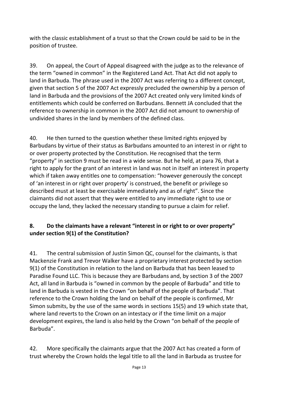with the classic establishment of a trust so that the Crown could be said to be in the position of trustee.

39. On appeal, the Court of Appeal disagreed with the judge as to the relevance of the term "owned in common" in the Registered Land Act. That Act did not apply to land in Barbuda. The phrase used in the 2007 Act was referring to a different concept, given that section 5 of the 2007 Act expressly precluded the ownership by a person of land in Barbuda and the provisions of the 2007 Act created only very limited kinds of entitlements which could be conferred on Barbudans. Bennett JA concluded that the reference to ownership in common in the 2007 Act did not amount to ownership of undivided shares in the land by members of the defined class.

40. He then turned to the question whether these limited rights enjoyed by Barbudans by virtue of their status as Barbudans amounted to an interest in or right to or over property protected by the Constitution. He recognised that the term "property" in section 9 must be read in a wide sense. But he held, at para 76, that a right to apply for the grant of an interest in land was not in itself an interest in property which if taken away entitles one to compensation: "however generously the concept of 'an interest in or right over property' is construed, the benefit or privilege so described must at least be exercisable immediately and as of right". Since the claimants did not assert that they were entitled to any immediate right to use or occupy the land, they lacked the necessary standing to pursue a claim for relief.

#### **8. Do the claimants have a relevant "interest in or right to or over property" under section 9(1) of the Constitution?**

41. The central submission of Justin Simon QC, counsel for the claimants, is that Mackenzie Frank and Trevor Walker have a proprietary interest protected by section 9(1) of the Constitution in relation to the land on Barbuda that has been leased to Paradise Found LLC. This is because they are Barbudans and, by section 3 of the 2007 Act, all land in Barbuda is "owned in common by the people of Barbuda" and title to land in Barbuda is vested in the Crown "on behalf of the people of Barbuda". That reference to the Crown holding the land on behalf of the people is confirmed, Mr Simon submits, by the use of the same words in sections 15(5) and 19 which state that, where land reverts to the Crown on an intestacy or if the time limit on a major development expires, the land is also held by the Crown "on behalf of the people of Barbuda".

42. More specifically the claimants argue that the 2007 Act has created a form of trust whereby the Crown holds the legal title to all the land in Barbuda as trustee for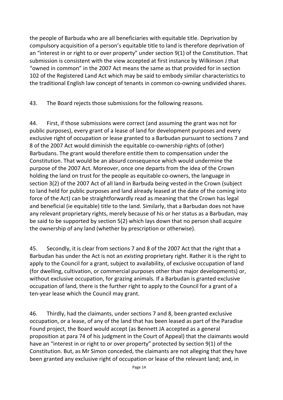the people of Barbuda who are all beneficiaries with equitable title. Deprivation by compulsory acquisition of a person's equitable title to land is therefore deprivation of an "interest in or right to or over property" under section 9(1) of the Constitution. That submission is consistent with the view accepted at first instance by Wilkinson J that "owned in common" in the 2007 Act means the same as that provided for in section 102 of the Registered Land Act which may be said to embody similar characteristics to the traditional English law concept of tenants in common co-owning undivided shares.

43. The Board rejects those submissions for the following reasons.

44. First, if those submissions were correct (and assuming the grant was not for public purposes), every grant of a lease of land for development purposes and every exclusive right of occupation or lease granted to a Barbudan pursuant to sections 7 and 8 of the 2007 Act would diminish the equitable co-ownership rights of (other) Barbudans. The grant would therefore entitle them to compensation under the Constitution. That would be an absurd consequence which would undermine the purpose of the 2007 Act. Moreover, once one departs from the idea of the Crown holding the land on trust for the people as equitable co-owners, the language in section 3(2) of the 2007 Act of all land in Barbuda being vested in the Crown (subject to land held for public purposes and land already leased at the date of the coming into force of the Act) can be straightforwardly read as meaning that the Crown has legal and beneficial (ie equitable) title to the land. Similarly, that a Barbudan does not have any relevant proprietary rights, merely because of his or her status as a Barbudan, may be said to be supported by section 5(2) which lays down that no person shall acquire the ownership of any land (whether by prescription or otherwise).

45. Secondly, it is clear from sections 7 and 8 of the 2007 Act that the right that a Barbudan has under the Act is not an *existing* proprietary right. Rather it is the right to apply to the Council for a grant, subject to availability, of exclusive occupation of land (for dwelling, cultivation, or commercial purposes other than major developments) or, without exclusive occupation, for grazing animals. If a Barbudan is granted exclusive occupation of land, there is the further right to apply to the Council for a grant of a ten-year lease which the Council may grant.

46. Thirdly, had the claimants, under sections 7 and 8, been granted exclusive occupation, or a lease, of any of the land that has been leased as part of the Paradise Found project, the Board would accept (as Bennett JA accepted as a general proposition at para 74 of his judgment in the Court of Appeal) that the claimants would have an "interest in or right to or over property" protected by section 9(1) of the Constitution. But, as Mr Simon conceded, the claimants are not alleging that they have been granted any exclusive right of occupation or lease of the relevant land; and, in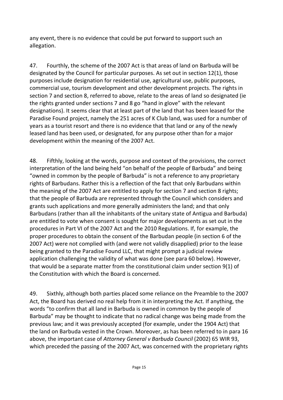any event, there is no evidence that could be put forward to support such an allegation.

47. Fourthly, the scheme of the 2007 Act is that areas of land on Barbuda will be designated by the Council for particular purposes. As set out in section 12(1), those purposes include designation for residential use, agricultural use, public purposes, commercial use, tourism development and other development projects. The rights in section 7 and section 8, referred to above, relate to the areas of land so designated (ie the rights granted under sections 7 and 8 go "hand in glove" with the relevant designations). It seems clear that at least part of the land that has been leased for the Paradise Found project, namely the 251 acres of K Club land, was used for a number of years as a tourist resort and there is no evidence that that land or any of the newly leased land has been used, or designated, for any purpose other than for a major development within the meaning of the 2007 Act.

48. Fifthly, looking at the words, purpose and context of the provisions, the correct interpretation of the land being held "on behalf of the people of Barbuda" and being "owned in common by the people of Barbuda" is not a reference to any proprietary rights of Barbudans. Rather this is a reflection of the fact that only Barbudans within the meaning of the 2007 Act are entitled to apply for section 7 and section 8 rights; that the people of Barbuda are represented through the Council which considers and grants such applications and more generally administers the land; and that only Barbudans (rather than all the inhabitants of the unitary state of Antigua and Barbuda) are entitled to vote when consent is sought for major developments as set out in the procedures in Part VI of the 2007 Act and the 2010 Regulations. If, for example, the proper procedures to obtain the consent of the Barbudan people (in section 6 of the 2007 Act) were not complied with (and were not validly disapplied) prior to the lease being granted to the Paradise Found LLC, that might prompt a judicial review application challenging the validity of what was done (see para 60 below). However, that would be a separate matter from the constitutional claim under section 9(1) of the Constitution with which the Board is concerned.

49. Sixthly, although both parties placed some reliance on the Preamble to the 2007 Act, the Board has derived no real help from it in interpreting the Act. If anything, the words "to confirm that all land in Barbuda is owned in common by the people of Barbuda" may be thought to indicate that no radical change was being made from the previous law; and it was previously accepted (for example, under the 1904 Act) that the land on Barbuda vested in the Crown. Moreover, as has been referred to in para 16 above, the important case of *Attorney General v Barbuda Council* (2002) 65 WIR 93, which preceded the passing of the 2007 Act, was concerned with the proprietary rights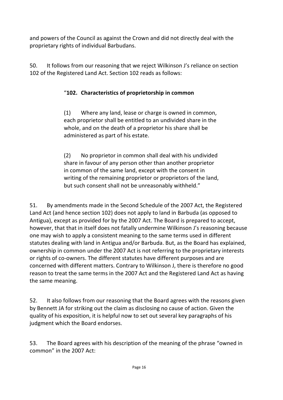and powers of the Council as against the Crown and did not directly deal with the proprietary rights of individual Barbudans.

50. It follows from our reasoning that we reject Wilkinson J's reliance on section 102 of the Registered Land Act. Section 102 reads as follows:

### "**102. Characteristics of proprietorship in common**

(1) Where any land, lease or charge is owned in common, each proprietor shall be entitled to an undivided share in the whole, and on the death of a proprietor his share shall be administered as part of his estate.

(2) No proprietor in common shall deal with his undivided share in favour of any person other than another proprietor in common of the same land, except with the consent in writing of the remaining proprietor or proprietors of the land, but such consent shall not be unreasonably withheld."

51. By amendments made in the Second Schedule of the 2007 Act, the Registered Land Act (and hence section 102) does not apply to land in Barbuda (as opposed to Antigua), except as provided for by the 2007 Act. The Board is prepared to accept, however, that that in itself does not fatally undermine Wilkinson J's reasoning because one may wish to apply a consistent meaning to the same terms used in different statutes dealing with land in Antigua and/or Barbuda. But, as the Board has explained, ownership in common under the 2007 Act is not referring to the proprietary interests or rights of co-owners. The different statutes have different purposes and are concerned with different matters. Contrary to Wilkinson J, there is therefore no good reason to treat the same terms in the 2007 Act and the Registered Land Act as having the same meaning.

52. It also follows from our reasoning that the Board agrees with the reasons given by Bennett JA for striking out the claim as disclosing no cause of action. Given the quality of his exposition, it is helpful now to set out several key paragraphs of his judgment which the Board endorses.

53. The Board agrees with his description of the meaning of the phrase "owned in common" in the 2007 Act: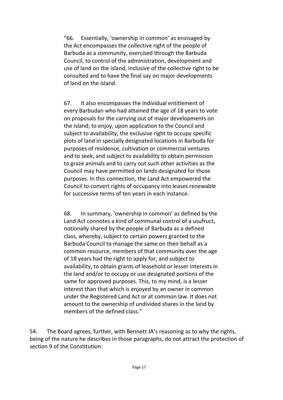"66. Essentially, 'ownership in common' as envisaged by the Act encompasses the collective right of the people of Barbuda as a community, exercised through the Barbuda Council, to control of the administration, development and use of land on the island, inclusive of the collective right to be consulted and to have the final say on major developments of land on the island.

67. It also encompasses the individual entitlement of every Barbudan who had attained the age of 18 years to vote on proposals for the carrying out of major developments on the island; to enjoy, upon application to the Council and subject to availability, the exclusive right to occupy specific plots of land in specially designated locations in Barbuda for purposes of residence, cultivation or commercial ventures and to seek, and subject to availability to obtain permission to graze animals and to carry out such other activities as the Council may have permitted on lands designated for those purposes. In this connection, the Land Act empowered the Council to convert rights of occupancy into leases renewable for successive terms of ten years in each instance.

68. In summary, 'ownership in common' as defined by the Land Act connotes a kind of communal control of a usufruct, notionally shared by the people of Barbuda as a defined class, whereby, subject to certain powers granted to the Barbuda Council to manage the same on their behalf as a common resource, members of that community over the age of 18 years had the right to apply for, and subject to availability, to obtain grants of leasehold or lesser interests in the land and/or to occupy or use designated portions of the same for approved purposes. This, to my mind, is a lesser interest than that which is enjoyed by an owner in common under the Registered Land Act or at common law. It does not amount to the ownership of undivided shares in the land by members of the defined class."

54. The Board agrees, further, with Bennett JA's reasoning as to why the rights, being of the nature he describes in those paragraphs, do not attract the protection of section 9 of the Constitution: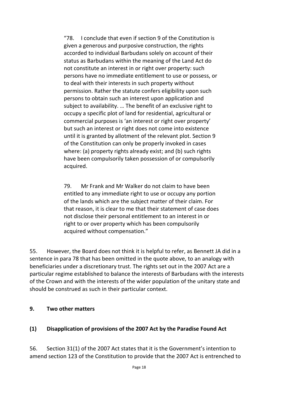"78. I conclude that even if section 9 of the Constitution is given a generous and purposive construction, the rights accorded to individual Barbudans solely on account of their status as Barbudans within the meaning of the Land Act do not constitute an interest in or right over property: such persons have no immediate entitlement to use or possess, or to deal with their interests in such property without permission. Rather the statute confers eligibility upon such persons to obtain such an interest upon application and subject to availability. … The benefit of an exclusive right to occupy a specific plot of land for residential, agricultural or commercial purposes is 'an interest or right over property' but such an interest or right does not come into existence until it is granted by allotment of the relevant plot. Section 9 of the Constitution can only be properly invoked in cases where: (a) property rights already exist; and (b) such rights have been compulsorily taken possession of or compulsorily acquired.

79. Mr Frank and Mr Walker do not claim to have been entitled to any immediate right to use or occupy any portion of the lands which are the subject matter of their claim. For that reason, it is clear to me that their statement of case does not disclose their personal entitlement to an interest in or right to or over property which has been compulsorily acquired without compensation."

55. However, the Board does not think it is helpful to refer, as Bennett JA did in a sentence in para 78 that has been omitted in the quote above, to an analogy with beneficiaries under a discretionary trust. The rights set out in the 2007 Act are a particular regime established to balance the interests of Barbudans with the interests of the Crown and with the interests of the wider population of the unitary state and should be construed as such in their particular context.

#### **9. Two other matters**

#### **(1) Disapplication of provisions of the 2007 Act by the Paradise Found Act**

56. Section 31(1) of the 2007 Act states that it is the Government's intention to amend section 123 of the Constitution to provide that the 2007 Act is entrenched to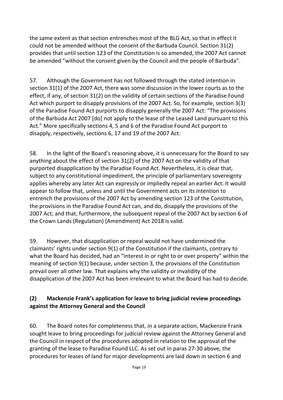the same extent as that section entrenches most of the BLG Act, so that in effect it could not be amended without the consent of the Barbuda Council. Section 31(2) provides that until section 123 of the Constitution is so amended, the 2007 Act cannot be amended "without the consent given by the Council and the people of Barbuda".

57. Although the Government has not followed through the stated intention in section 31(1) of the 2007 Act, there was some discussion in the lower courts as to the effect, if any, of section 31(2) on the validity of certain sections of the Paradise Found Act which purport to disapply provisions of the 2007 Act. So, for example, section 3(3) of the Paradise Found Act purports to disapply generally the 2007 Act: "The provisions of the Barbuda Act 2007 [do] not apply to the lease of the Leased Land pursuant to this Act." More specifically sections 4, 5 and 6 of the Paradise Found Act purport to disapply, respectively, sections 6, 17 and 19 of the 2007 Act.

58. In the light of the Board's reasoning above, it is unnecessary for the Board to say anything about the effect of section 31(2) of the 2007 Act on the validity of that purported disapplication by the Paradise Found Act. Nevertheless, it is clear that, subject to any constitutional impediment, the principle of parliamentary sovereignty applies whereby any later Act can expressly or impliedly repeal an earlier Act. It would appear to follow that, unless and until the Government acts on its intention to entrench the provisions of the 2007 Act by amending section 123 of the Constitution, the provisions in the Paradise Found Act can, and do, disapply the provisions of the 2007 Act; and that, furthermore, the subsequent repeal of the 2007 Act by section 6 of the Crown Lands (Regulation) (Amendment) Act 2018 is valid.

59. However, that disapplication or repeal would not have undermined the claimants' rights under section 9(1) of the Constitution if the claimants, contrary to what the Board has decided, had an "interest in or right to or over property" within the meaning of section 9(1) because, under section 3, the provisions of the Constitution prevail over all other law. That explains why the validity or invalidity of the disapplication of the 2007 Act has been irrelevant to what the Board has had to decide.

#### **(2) Mackenzie Frank's application for leave to bring judicial review proceedings against the Attorney General and the Council**

60. The Board notes for completeness that, in a separate action, Mackenzie Frank sought leave to bring proceedings for judicial review against the Attorney General and the Council in respect of the procedures adopted in relation to the approval of the granting of the lease to Paradise Found LLC. As set out in paras 27-30 above, the procedures for leases of land for major developments are laid down in section 6 and